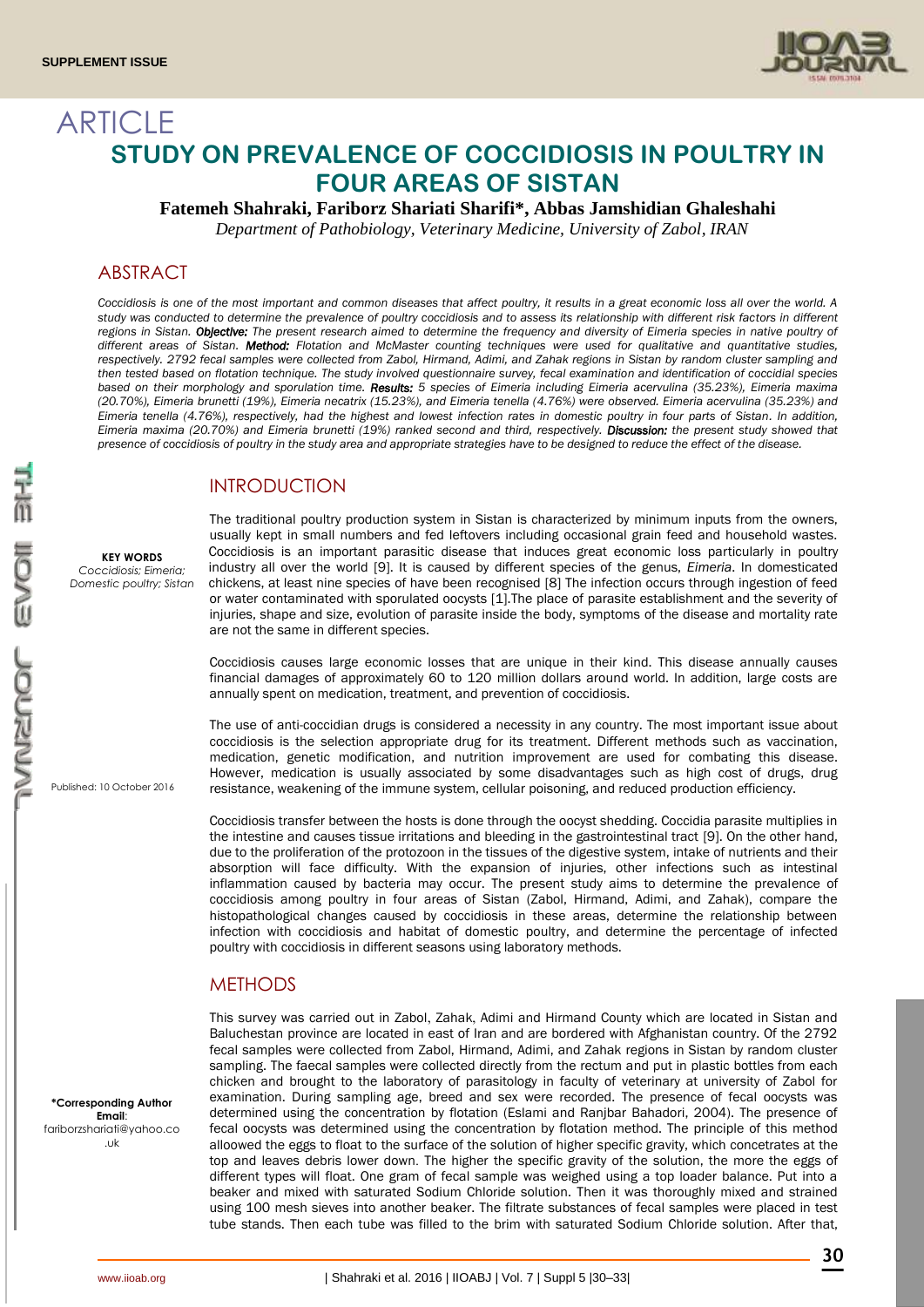

# ARTICLE **STUDY ON PREVALENCE OF COCCIDIOSIS IN POULTRY IN FOUR AREAS OF SISTAN**

**Fatemeh Shahraki, Fariborz Shariati Sharifi\*, Abbas Jamshidian Ghaleshahi**

*Department of Pathobiology, Veterinary Medicine, University of Zabol, IRAN*

# ABSTRACT

*Coccidiosis is one of the most important and common diseases that affect poultry, it results in a great economic loss all over the world. A*  study was conducted to determine the prevalence of poultry coccidiosis and to assess its relationship with different risk factors in different regions in Sistan. Objective: The present research aimed to determine the frequency and diversity of Eimeria species in native poultry of *different areas of Sistan. Method: Flotation and McMaster counting techniques were used for qualitative and quantitative studies, respectively. 2792 fecal samples were collected from Zabol, Hirmand, Adimi, and Zahak regions in Sistan by random cluster sampling and then tested based on flotation technique. The study involved questionnaire survey, fecal examination and identification of coccidial species based on their morphology and sporulation time. Results: 5 species of Eimeria including Eimeria acervulina (35.23%), Eimeria maxima (20.70%), Eimeria brunetti (19%), Eimeria necatrix (15.23%), and Eimeria tenella (4.76%) were observed. Eimeria acervulina (35.23%) and Eimeria tenella (4.76%), respectively, had the highest and lowest infection rates in domestic poultry in four parts of Sistan. In addition, Eimeria maxima (20.70%) and Eimeria brunetti (19%) ranked second and third, respectively. Discussion: the present study showed that presence of coccidiosis of poultry in the study area and appropriate strategies have to be designed to reduce the effect of the disease.*

# INTRODUCTION

**KEY WORDS** *Coccidiosis; Eimeria; Domestic poultry; Sistan*

Published: 10 October 2016

The traditional poultry production system in Sistan is characterized by minimum inputs from the owners, usually kept in small numbers and fed leftovers including occasional grain feed and household wastes. Coccidiosis is an important parasitic disease that induces great economic loss particularly in poultry industry all over the world [9]. It is caused by different species of the genus, *Eimeria*. In domesticated chickens, at least nine species of have been recognised [8] The infection occurs through ingestion of feed or water contaminated with sporulated oocysts [1].The place of parasite establishment and the severity of injuries, shape and size, evolution of parasite inside the body, symptoms of the disease and mortality rate are not the same in different species.

Coccidiosis causes large economic losses that are unique in their kind. This disease annually causes financial damages of approximately 60 to 120 million dollars around world. In addition, large costs are annually spent on medication, treatment, and prevention of coccidiosis.

The use of anti-coccidian drugs is considered a necessity in any country. The most important issue about coccidiosis is the selection appropriate drug for its treatment. Different methods such as vaccination, medication, genetic modification, and nutrition improvement are used for combating this disease. However, medication is usually associated by some disadvantages such as high cost of drugs, drug resistance, weakening of the immune system, cellular poisoning, and reduced production efficiency.

Coccidiosis transfer between the hosts is done through the oocyst shedding. Coccidia parasite multiplies in the intestine and causes tissue irritations and bleeding in the gastrointestinal tract [9]. On the other hand, due to the proliferation of the protozoon in the tissues of the digestive system, intake of nutrients and their absorption will face difficulty. With the expansion of injuries, other infections such as intestinal inflammation caused by bacteria may occur. The present study aims to determine the prevalence of coccidiosis among poultry in four areas of Sistan (Zabol, Hirmand, Adimi, and Zahak), compare the histopathological changes caused by coccidiosis in these areas, determine the relationship between infection with coccidiosis and habitat of domestic poultry, and determine the percentage of infected poultry with coccidiosis in different seasons using laboratory methods.

### **METHODS**

**\*Corresponding Author Email**: fariborzshariati@yahoo.co .uk

This survey was carried out in Zabol, Zahak, Adimi and Hirmand County which are located in Sistan and Baluchestan province are located in east of Iran and are bordered with Afghanistan country. Of the 2792 fecal samples were collected from Zabol, Hirmand, Adimi, and Zahak regions in Sistan by random cluster sampling. The faecal samples were collected directly from the rectum and put in plastic bottles from each chicken and brought to the laboratory of parasitology in faculty of veterinary at university of Zabol for examination. During sampling age, breed and sex were recorded. The presence of fecal oocysts was determined using the concentration by flotation (Eslami and Ranjbar Bahadori, 2004). The presence of fecal oocysts was determined using the concentration by flotation method. The principle of this method alloowed the eggs to float to the surface of the solution of higher specific gravity, which concetrates at the top and leaves debris lower down. The higher the specific gravity of the solution, the more the eggs of different types will float. One gram of fecal sample was weighed using a top loader balance. Put into a beaker and mixed with saturated Sodium Chloride solution. Then it was thoroughly mixed and strained using 100 mesh sieves into another beaker. The filtrate substances of fecal samples were placed in test tube stands. Then each tube was filled to the brim with saturated Sodium Chloride solution. After that,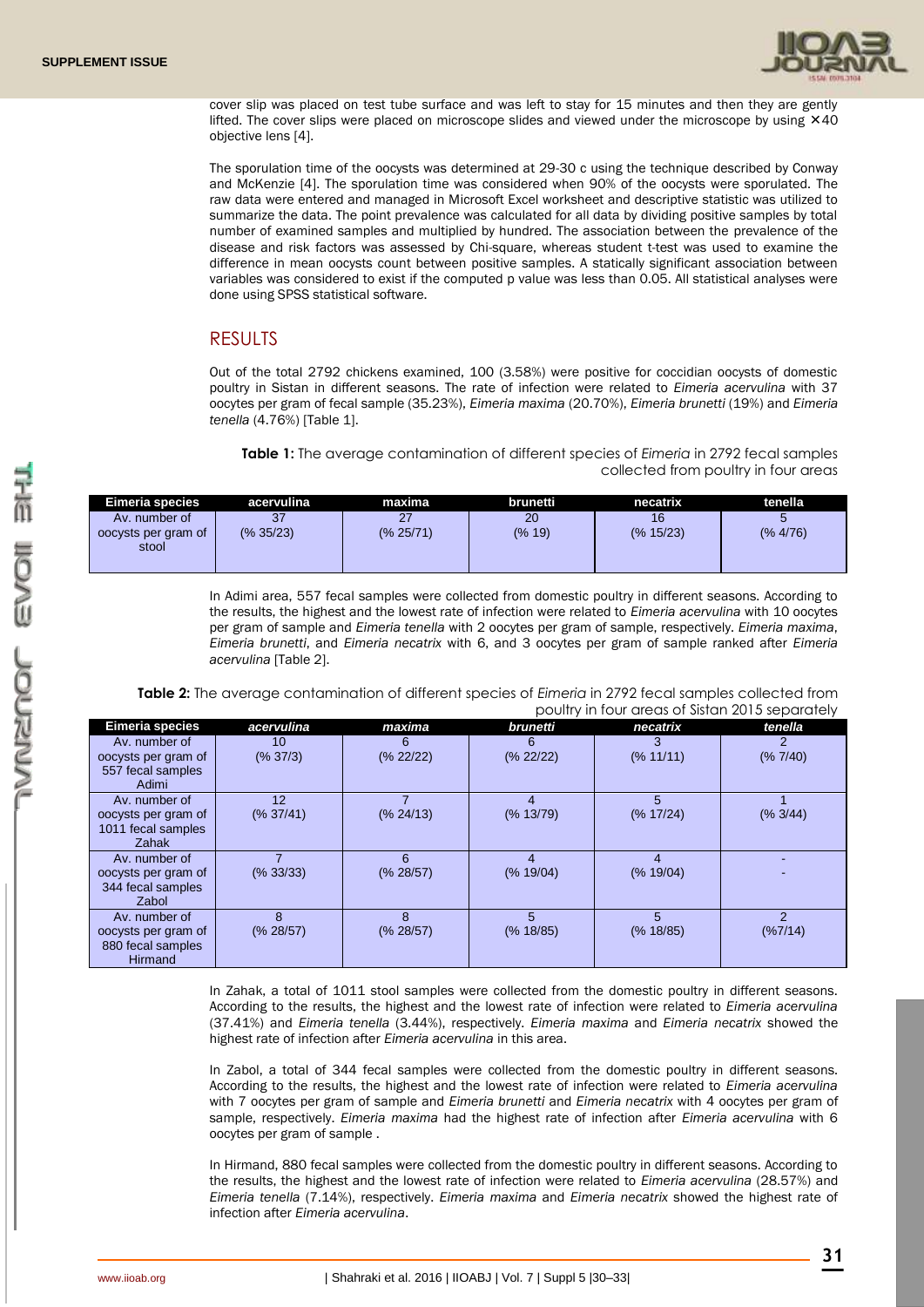

cover slip was placed on test tube surface and was left to stay for 15 minutes and then they are gently lifted. The cover slips were placed on microscope slides and viewed under the microscope by using  $\times$ 40 objective lens [4].

The sporulation time of the oocysts was determined at 29-30 c using the technique described by Conway and McKenzie [4]. The sporulation time was considered when 90% of the oocysts were sporulated. The raw data were entered and managed in Microsoft Excel worksheet and descriptive statistic was utilized to summarize the data. The point prevalence was calculated for all data by dividing positive samples by total number of examined samples and multiplied by hundred. The association between the prevalence of the disease and risk factors was assessed by Chi-square, whereas student t-test was used to examine the difference in mean oocysts count between positive samples. A statically significant association between variables was considered to exist if the computed p value was less than 0.05. All statistical analyses were done using SPSS statistical software.

#### RESULTS

Out of the total 2792 chickens examined, 100 (3.58%) were positive for coccidian oocysts of domestic poultry in Sistan in different seasons. The rate of infection were related to *Eimeria acervulina* with 37 oocytes per gram of fecal sample (35.23%), *Eimeria maxima* (20.70%), *Eimeria brunetti* (19%) and *Eimeria tenella* (4.76%) [Table 1].

**Table 1:** The average contamination of different species of *Eimeria* in 2792 fecal samples collected from poultry in four areas

| Eimeria species                               | acervulina      | maxima    | brunetti.    | necatrix        | tenella  |
|-----------------------------------------------|-----------------|-----------|--------------|-----------------|----------|
| Av. number of<br>oocysts per gram of<br>stool | 37<br>(% 35/23) | (% 25/71) | 20<br>(% 19) | 16<br>(% 15/23) | (% 4/76) |

In Adimi area, 557 fecal samples were collected from domestic poultry in different seasons. According to the results, the highest and the lowest rate of infection were related to *Eimeria acervulina* with 10 oocytes per gram of sample and *Eimeria tenella* with 2 oocytes per gram of sample, respectively. *Eimeria maxima*, *Eimeria brunetti*, and *Eimeria necatrix* with 6, and 3 oocytes per gram of sample ranked after *Eimeria acervulina* [Table 2].

**Table 2:** The average contamination of different species of *Eimeria* in 2792 fecal samples collected from poultry in four areas of Sistan 2015 separately

|                                                                             |                 |                | poplity in roof drous or sistem zo to soparatory |                |                           |  |  |
|-----------------------------------------------------------------------------|-----------------|----------------|--------------------------------------------------|----------------|---------------------------|--|--|
| <b>Eimeria species</b>                                                      | acervulina      | maxima         | brunetti                                         | necatrix       | tenella                   |  |  |
| Av. number of<br>oocysts per gram of<br>557 fecal samples<br>Adimi          | 10<br>(% 37/3)  | 6<br>(% 22/22) | 6<br>(% 22/22)                                   | 3<br>(% 11/11) | 2<br>(% 7/40)             |  |  |
| Av. number of<br>oocysts per gram of<br>1011 fecal samples<br>Zahak         | 12<br>(% 37/41) | (% 24/13)      | 4<br>(% 13/79)                                   | 5<br>(% 17/24) | (% 3/44)                  |  |  |
| Av. number of<br>oocysts per gram of<br>344 fecal samples<br>Zabol          | (% 33/33)       | 6<br>(% 28/57) | (% 19/04)                                        | (% 19/04)      |                           |  |  |
| Av. number of<br>oocysts per gram of<br>880 fecal samples<br><b>Hirmand</b> | 8<br>(% 28/57)  | 8<br>(% 28/57) | 5<br>(% 18/85)                                   | 5<br>(% 18/85) | $\overline{2}$<br>(%7/14) |  |  |

In Zahak, a total of 1011 stool samples were collected from the domestic poultry in different seasons. According to the results, the highest and the lowest rate of infection were related to *Eimeria acervulina* (37.41%) and *Eimeria tenella* (3.44%), respectively. *Eimeria maxima* and *Eimeria necatrix* showed the highest rate of infection after *Eimeria acervulina* in this area.

In Zabol, a total of 344 fecal samples were collected from the domestic poultry in different seasons. According to the results, the highest and the lowest rate of infection were related to *Eimeria acervulina* with 7 oocytes per gram of sample and *Eimeria brunetti* and *Eimeria necatrix* with 4 oocytes per gram of sample, respectively. *Eimeria maxima* had the highest rate of infection after *Eimeria acervulina* with 6 oocytes per gram of sample .

In Hirmand, 880 fecal samples were collected from the domestic poultry in different seasons. According to the results, the highest and the lowest rate of infection were related to *Eimeria acervulina* (28.57%) and *Eimeria tenella* (7.14%), respectively. *Eimeria maxima* and *Eimeria necatrix* showed the highest rate of infection after *Eimeria acervulina*.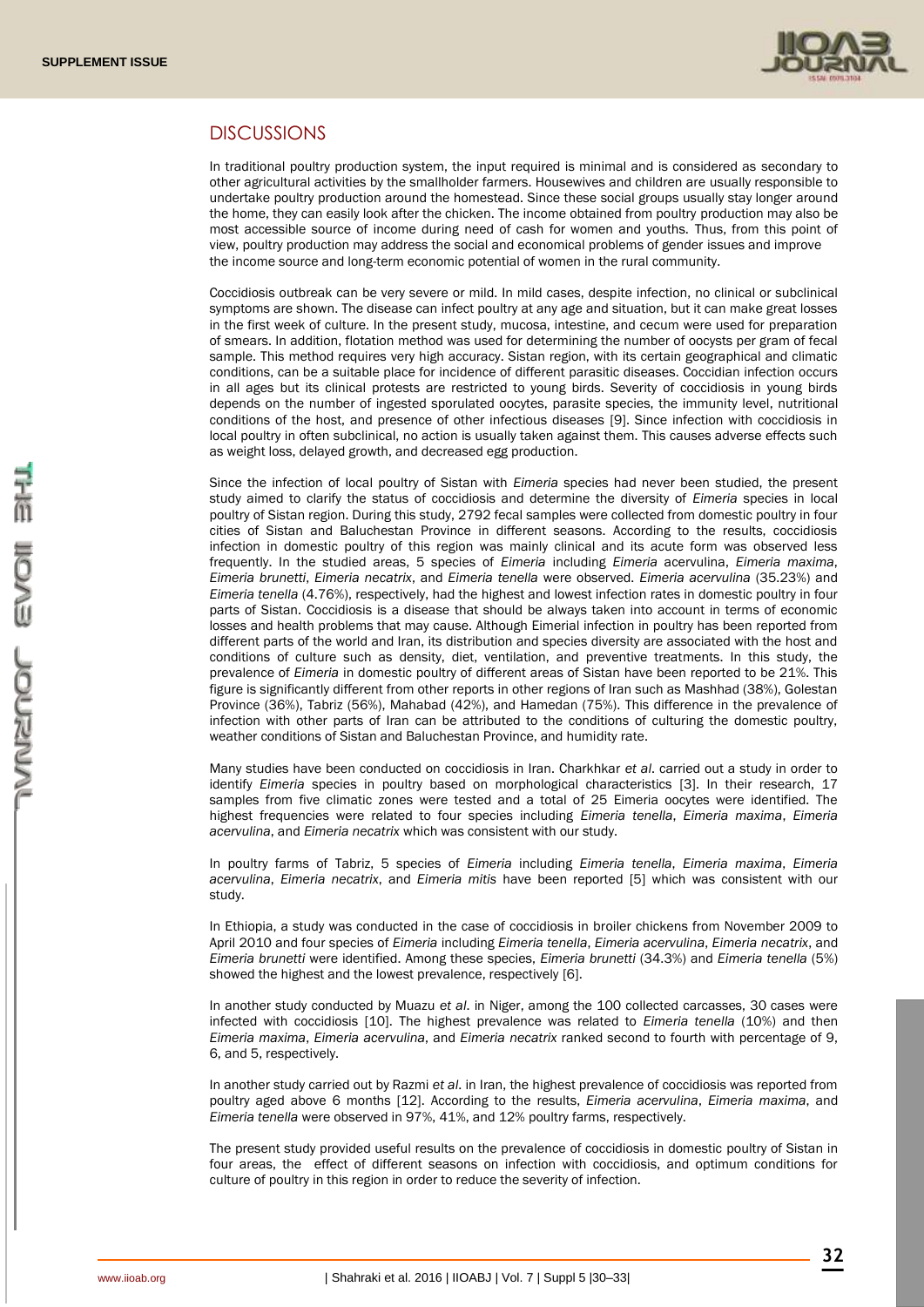

# DISCUSSIONS

In traditional poultry production system, the input required is minimal and is considered as secondary to other agricultural activities by the smallholder farmers. Housewives and children are usually responsible to undertake poultry production around the homestead. Since these social groups usually stay longer around the home, they can easily look after the chicken. The income obtained from poultry production may also be most accessible source of income during need of cash for women and youths. Thus, from this point of view, poultry production may address the social and economical problems of gender issues and improve the income source and long-term economic potential of women in the rural community.

Coccidiosis outbreak can be very severe or mild. In mild cases, despite infection, no clinical or subclinical symptoms are shown. The disease can infect poultry at any age and situation, but it can make great losses in the first week of culture. In the present study, mucosa, intestine, and cecum were used for preparation of smears. In addition, flotation method was used for determining the number of oocysts per gram of fecal sample. This method requires very high accuracy. Sistan region, with its certain geographical and climatic conditions, can be a suitable place for incidence of different parasitic diseases. Coccidian infection occurs in all ages but its clinical protests are restricted to young birds. Severity of coccidiosis in young birds depends on the number of ingested sporulated oocytes, parasite species, the immunity level, nutritional conditions of the host, and presence of other infectious diseases [9]. Since infection with coccidiosis in local poultry in often subclinical, no action is usually taken against them. This causes adverse effects such as weight loss, delayed growth, and decreased egg production.

Since the infection of local poultry of Sistan with *Eimeria* species had never been studied, the present study aimed to clarify the status of coccidiosis and determine the diversity of *Eimeria* species in local poultry of Sistan region. During this study, 2792 fecal samples were collected from domestic poultry in four cities of Sistan and Baluchestan Province in different seasons. According to the results, coccidiosis infection in domestic poultry of this region was mainly clinical and its acute form was observed less frequently. In the studied areas, 5 species of *Eimeria* including *Eimeria* acervulina, *Eimeria maxima*, *Eimeria brunetti*, *Eimeria necatrix*, and *Eimeria tenella* were observed. *Eimeria acervulina* (35.23%) and *Eimeria tenella* (4.76%), respectively, had the highest and lowest infection rates in domestic poultry in four parts of Sistan. Coccidiosis is a disease that should be always taken into account in terms of economic losses and health problems that may cause. Although Eimerial infection in poultry has been reported from different parts of the world and Iran, its distribution and species diversity are associated with the host and conditions of culture such as density, diet, ventilation, and preventive treatments. In this study, the prevalence of *Eimeria* in domestic poultry of different areas of Sistan have been reported to be 21%. This figure is significantly different from other reports in other regions of Iran such as Mashhad (38%), Golestan Province (36%), Tabriz (56%), Mahabad (42%), and Hamedan (75%). This difference in the prevalence of infection with other parts of Iran can be attributed to the conditions of culturing the domestic poultry, weather conditions of Sistan and Baluchestan Province, and humidity rate.

Many studies have been conducted on coccidiosis in Iran. Charkhkar *et al*. carried out a study in order to identify *Eimeria* species in poultry based on morphological characteristics [3]. In their research, 17 samples from five climatic zones were tested and a total of 25 Eimeria oocytes were identified. The highest frequencies were related to four species including *Eimeria tenella*, *Eimeria maxima*, *Eimeria acervulina*, and *Eimeria necatrix* which was consistent with our study.

In poultry farms of Tabriz, 5 species of *Eimeria* including *Eimeria tenella*, *Eimeria maxima*, *Eimeria acervulina*, *Eimeria necatrix*, and *Eimeria mitis* have been reported [5] which was consistent with our study.

In Ethiopia, a study was conducted in the case of coccidiosis in broiler chickens from November 2009 to April 2010 and four species of *Eimeria* including *Eimeria tenella*, *Eimeria acervulina*, *Eimeria necatrix*, and *Eimeria brunetti* were identified. Among these species, *Eimeria brunetti* (34.3%) and *Eimeria tenella* (5%) showed the highest and the lowest prevalence, respectively [6].

In another study conducted by Muazu *et al*. in Niger, among the 100 collected carcasses, 30 cases were infected with coccidiosis [10]. The highest prevalence was related to *Eimeria tenella* (10%) and then *Eimeria maxima*, *Eimeria acervulina*, and *Eimeria necatrix* ranked second to fourth with percentage of 9, 6, and 5, respectively.

In another study carried out by Razmi *et al*. in Iran, the highest prevalence of coccidiosis was reported from poultry aged above 6 months [12]. According to the results, *Eimeria acervulina*, *Eimeria maxima*, and *Eimeria tenella* were observed in 97%, 41%, and 12% poultry farms, respectively.

The present study provided useful results on the prevalence of coccidiosis in domestic poultry of Sistan in four areas, the effect of different seasons on infection with coccidiosis, and optimum conditions for culture of poultry in this region in order to reduce the severity of infection.